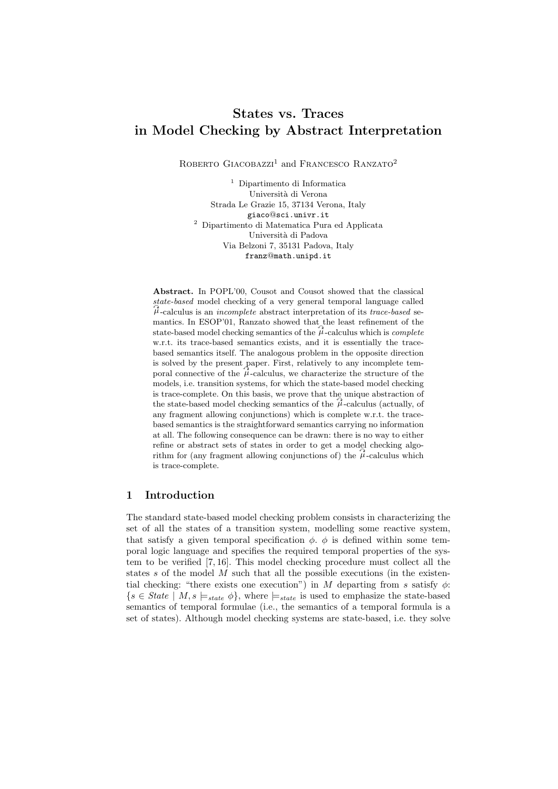# States vs. Traces in Model Checking by Abstract Interpretation

ROBERTO GIACOBAZZI<sup>1</sup> and FRANCESCO RANZATO<sup>2</sup>

<sup>1</sup> Dipartimento di Informatica Universit`a di Verona Strada Le Grazie 15, 37134 Verona, Italy giaco@sci.univr.it <sup>2</sup> Dipartimento di Matematica Pura ed Applicata Università di Padova Via Belzoni 7, 35131 Padova, Italy franz@math.unipd.it

Abstract. In POPL'00, Cousot and Cousot showed that the classical  $state\text{-}based$  model checking of a very general temporal language called  $\mu$ -calculus is an *incomplete* abstract interpretation of its *trace-based* semantics. In ESOP'01, Ranzato showed that the least refinement of the state-based model checking semantics of the  $\mu$ -calculus which is *complete* w.r.t. its trace-based semantics exists, and it is essentially the tracebased semantics itself. The analogous problem in the opposite direction is solved by the present paper. First, relatively to any incomplete temporal connective of the  $\mu$ -calculus, we characterize the structure of the models, i.e. transition systems, for which the state-based model checking is trace-complete. On this basis, we prove that the unique abstraction of the state-based model checking semantics of the  $\mu$ -calculus (actually, of any fragment allowing conjunctions) which is complete w.r.t. the tracebased semantics is the straightforward semantics carrying no information at all. The following consequence can be drawn: there is no way to either refine or abstract sets of states in order to get a model checking algorithm for (any fragment allowing conjunctions of) the  $\mu$ -calculus which is trace-complete.

# 1 Introduction

The standard state-based model checking problem consists in characterizing the set of all the states of a transition system, modelling some reactive system, that satisfy a given temporal specification  $\phi$ .  $\phi$  is defined within some temporal logic language and specifies the required temporal properties of the system to be verified [7, 16]. This model checking procedure must collect all the states s of the model M such that all the possible executions (in the existential checking: "there exists one execution") in M departing from s satisfy  $\phi$ :  ${s \in State | M, s \models_{state} \phi},$  where  $\models_{state}$  is used to emphasize the state-based semantics of temporal formulae (i.e., the semantics of a temporal formula is a set of states). Although model checking systems are state-based, i.e. they solve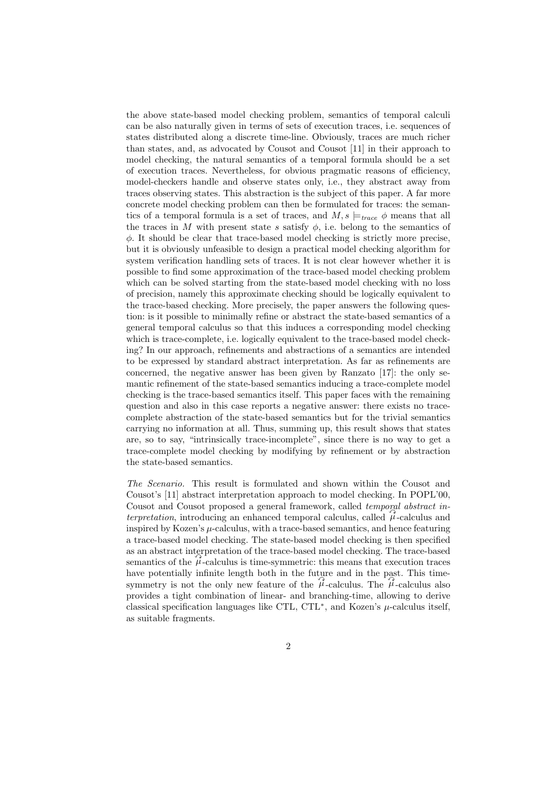the above state-based model checking problem, semantics of temporal calculi can be also naturally given in terms of sets of execution traces, i.e. sequences of states distributed along a discrete time-line. Obviously, traces are much richer than states, and, as advocated by Cousot and Cousot [11] in their approach to model checking, the natural semantics of a temporal formula should be a set of execution traces. Nevertheless, for obvious pragmatic reasons of efficiency, model-checkers handle and observe states only, i.e., they abstract away from traces observing states. This abstraction is the subject of this paper. A far more concrete model checking problem can then be formulated for traces: the semantics of a temporal formula is a set of traces, and  $M, s \models_{trace} \phi$  means that all the traces in M with present state s satisfy  $\phi$ , i.e. belong to the semantics of  $\phi$ . It should be clear that trace-based model checking is strictly more precise, but it is obviously unfeasible to design a practical model checking algorithm for system verification handling sets of traces. It is not clear however whether it is possible to find some approximation of the trace-based model checking problem which can be solved starting from the state-based model checking with no loss of precision, namely this approximate checking should be logically equivalent to the trace-based checking. More precisely, the paper answers the following question: is it possible to minimally refine or abstract the state-based semantics of a general temporal calculus so that this induces a corresponding model checking which is trace-complete, i.e. logically equivalent to the trace-based model checking? In our approach, refinements and abstractions of a semantics are intended to be expressed by standard abstract interpretation. As far as refinements are concerned, the negative answer has been given by Ranzato [17]: the only semantic refinement of the state-based semantics inducing a trace-complete model checking is the trace-based semantics itself. This paper faces with the remaining question and also in this case reports a negative answer: there exists no tracecomplete abstraction of the state-based semantics but for the trivial semantics carrying no information at all. Thus, summing up, this result shows that states are, so to say, "intrinsically trace-incomplete", since there is no way to get a trace-complete model checking by modifying by refinement or by abstraction the state-based semantics.

The Scenario. This result is formulated and shown within the Cousot and Cousot's [11] abstract interpretation approach to model checking. In POPL'00, Cousot and Cousot proposed a general framework, called temporal abstract interpretation, introducing an enhanced temporal calculus, called  $\tilde{\mu}$ -calculus and inspired by Kozen's  $\mu$ -calculus, with a trace-based semantics, and hence featuring a trace-based model checking. The state-based model checking is then specified as an abstract interpretation of the trace-based model checking. The trace-based semantics of the  $\mu^*$ -calculus is time-symmetric: this means that execution traces have potentially infinite length both in the future and in the past. This timesymmetry is not the only new feature of the  $\mu$ -calculus. The  $\mu$ -calculus also provides a tight combination of linear- and branching-time, allowing to derive classical specification languages like CTL,  $\text{CTL}^*$ , and Kozen's  $\mu$ -calculus itself, as suitable fragments.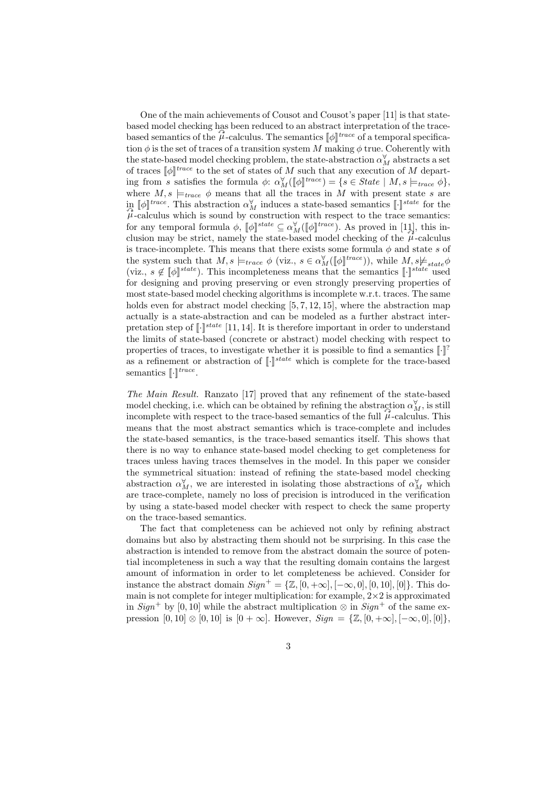One of the main achievements of Cousot and Cousot's paper [11] is that statebased model checking has been reduced to an abstract interpretation of the tracebased semantics of the  $\mu$ -calculus. The semantics  $[\![\phi]\!]^{trace}$  of a temporal specification  $\phi$  is the set of traces of a transition system M making  $\phi$  true. Coherently with the state-based model checking problem, the state-abstraction  $\alpha_M^\forall$  abstracts a set of traces  $\llbracket \phi \rrbracket^{trace}$  to the set of states of M such that any execution of M departing from s satisfies the formula  $\phi: \alpha_M^{\forall}([\![\phi]\!]^{trace}) = \{s \in State \mid M, s \models_{trace} \phi\},\$ where  $M, s \models_{trace} \phi$  means that all the traces in M with present state s are  $\lim_{\alpha} [\![\phi]\!]^{trace}$ . This abstraction  $\alpha_M^{\forall}$  induces a state-based semantics  $[\![\cdot]\!]^{state}$  for the  $\mu$ -calculus which is sound by construction with respect to the trace semantics: for any temporal formula  $\phi$ ,  $[\![\phi]\!]^{state} \subseteq \alpha^{\forall}_{M}([\![\phi]\!]^{trace})$ . As proved in [11], this inclusion may be strict, namely the state-based model checking of the  $\mu$ -calculus is trace-incomplete. This means that there exists some formula  $\phi$  and state s of the system such that  $M, s \models_{trace} \phi$  (viz.,  $s \in \alpha_M^{\forall}([\![\phi]\!]^{trace})$ ), while  $M, s \not\models_{state} \phi$ (viz.,  $s \notin [\![\phi]\!]^{state}$ ). This incompleteness means that the semantics  $[\![\cdot]\!]^{state}$  used for designing and proving preserving or even strongly preserving properties of most state-based model checking algorithms is incomplete w.r.t. traces. The same holds even for abstract model checking [5, 7, 12, 15], where the abstraction map actually is a state-abstraction and can be modeled as a further abstract interpretation step of  $\lbrack \cdot \rbrack^{state}$  [11, 14]. It is therefore important in order to understand the limits of state-based (concrete or abstract) model checking with respect to properties of traces, to investigate whether it is possible to find a semantics  $\lbrack \cdot \rbrack^?$ as a refinement or abstraction of  $[\![\cdot]\!]^{state}$  which is complete for the trace-based semantics  $\lbrack \cdot \rbrack^{trace}.$ 

The Main Result. Ranzato [17] proved that any refinement of the state-based model checking, i.e. which can be obtained by refining the abstraction  $\alpha_M^{\forall}$ , is still incomplete with respect to the trace-based semantics of the full  $\mu$ -calculus. This means that the most abstract semantics which is trace-complete and includes the state-based semantics, is the trace-based semantics itself. This shows that there is no way to enhance state-based model checking to get completeness for traces unless having traces themselves in the model. In this paper we consider the symmetrical situation: instead of refining the state-based model checking abstraction  $\alpha_M^{\forall}$ , we are interested in isolating those abstractions of  $\alpha_M^{\forall}$  which are trace-complete, namely no loss of precision is introduced in the verification by using a state-based model checker with respect to check the same property on the trace-based semantics.

The fact that completeness can be achieved not only by refining abstract domains but also by abstracting them should not be surprising. In this case the abstraction is intended to remove from the abstract domain the source of potential incompleteness in such a way that the resulting domain contains the largest amount of information in order to let completeness be achieved. Consider for instance the abstract domain  $Sign^+ = {\mathbb{Z}, [0, +\infty], [-\infty, 0], [0, 10], [0]}$ . This domain is not complete for integer multiplication: for example,  $2\times 2$  is approximated in  $Sign^+$  by [0, 10] while the abstract multiplication  $\otimes$  in  $Sign^+$  of the same expression  $[0, 10] \otimes [0, 10]$  is  $[0 + \infty]$ . However,  $Sign = \{\mathbb{Z}, [0, +\infty], [-\infty, 0], [0]\},$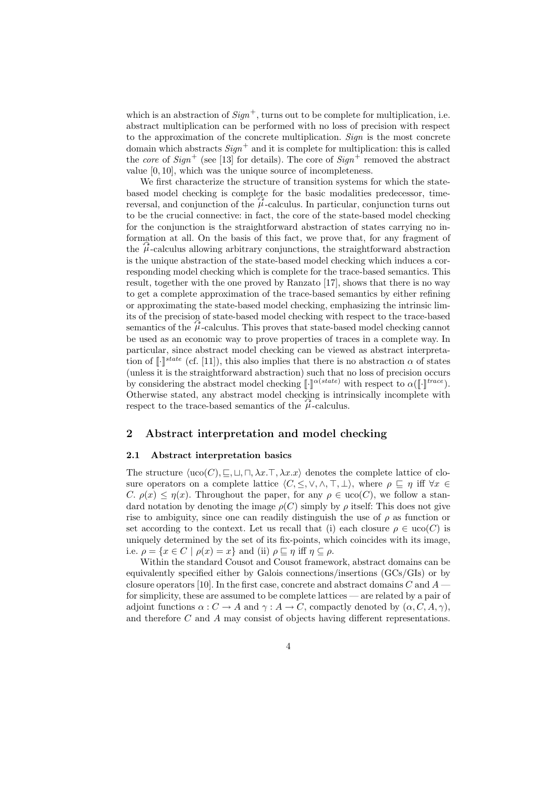which is an abstraction of  $Sign^+$ , turns out to be complete for multiplication, i.e. abstract multiplication can be performed with no loss of precision with respect to the approximation of the concrete multiplication. Sign is the most concrete domain which abstracts  $Sign^+$  and it is complete for multiplication: this is called the *core* of  $Sign^+$  (see [13] for details). The core of  $Sign^+$  removed the abstract value [0, 10], which was the unique source of incompleteness.

We first characterize the structure of transition systems for which the statebased model checking is complete for the basic modalities predecessor, timereversal, and conjunction of the  $\mu$ -calculus. In particular, conjunction turns out to be the crucial connective: in fact, the core of the state-based model checking for the conjunction is the straightforward abstraction of states carrying no information at all. On the basis of this fact, we prove that, for any fragment of the  $\mu$ -calculus allowing arbitrary conjunctions, the straightforward abstraction is the unique abstraction of the state-based model checking which induces a corresponding model checking which is complete for the trace-based semantics. This result, together with the one proved by Ranzato [17], shows that there is no way to get a complete approximation of the trace-based semantics by either refining or approximating the state-based model checking, emphasizing the intrinsic limits of the precision of state-based model checking with respect to the trace-based semantics of the  $\mu^2$ -calculus. This proves that state-based model checking cannot be used as an economic way to prove properties of traces in a complete way. In particular, since abstract model checking can be viewed as abstract interpretation of  $\lceil \cdot \rceil^{state}$  (cf. [11]), this also implies that there is no abstraction  $\alpha$  of states (unless it is the straightforward abstraction) such that no loss of precision occurs by considering the abstract model checking  $\lbrack \cdot \rbrack^{a(state)}$  with respect to  $\alpha(\lbrack \cdot \rbrack^{trace}).$ Otherwise stated, any abstract model checking is intrinsically incomplete with respect to the trace-based semantics of the  $\mu$ -calculus.

## 2 Abstract interpretation and model checking

# 2.1 Abstract interpretation basics

The structure  $\langle u\text{co}(C), \sqsubseteq, \sqcup, \sqcap, \lambda x.\top, \lambda x.x \rangle$  denotes the complete lattice of closure operators on a complete lattice  $\langle C, \leq, \vee, \wedge, \top, \bot \rangle$ , where  $\rho \sqsubseteq \eta$  iff  $\forall x \in$ C.  $\rho(x) \leq \eta(x)$ . Throughout the paper, for any  $\rho \in \text{uco}(C)$ , we follow a standard notation by denoting the image  $\rho(C)$  simply by  $\rho$  itself: This does not give rise to ambiguity, since one can readily distinguish the use of  $\rho$  as function or set according to the context. Let us recall that (i) each closure  $\rho \in \text{uco}(C)$  is uniquely determined by the set of its fix-points, which coincides with its image, i.e.  $\rho = \{x \in C \mid \rho(x) = x\}$  and (ii)  $\rho \sqsubseteq \eta$  iff  $\eta \subseteq \rho$ .

Within the standard Cousot and Cousot framework, abstract domains can be equivalently specified either by Galois connections/insertions (GCs/GIs) or by closure operators [10]. In the first case, concrete and abstract domains  $C$  and  $A$ for simplicity, these are assumed to be complete lattices — are related by a pair of adjoint functions  $\alpha: C \to A$  and  $\gamma: A \to C$ , compactly denoted by  $(\alpha, C, A, \gamma)$ , and therefore C and A may consist of objects having different representations.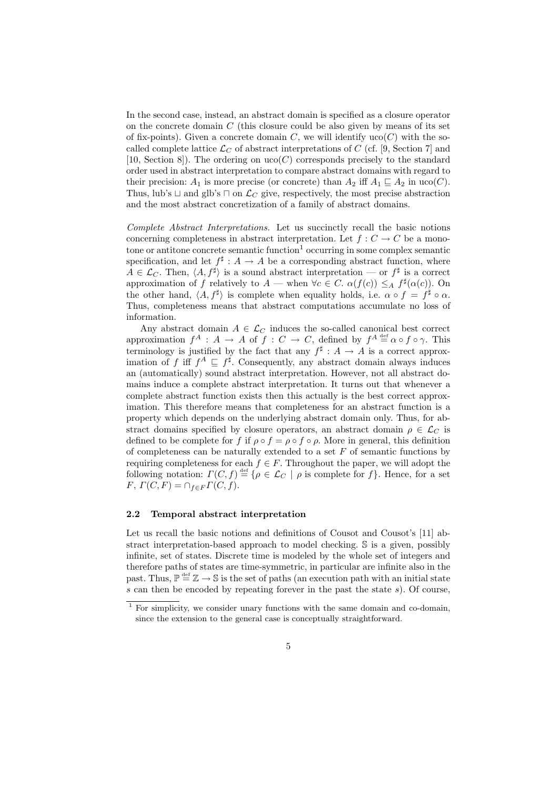In the second case, instead, an abstract domain is specified as a closure operator on the concrete domain  $C$  (this closure could be also given by means of its set of fix-points). Given a concrete domain  $C$ , we will identify  $uco(C)$  with the socalled complete lattice  $\mathcal{L}_C$  of abstract interpretations of C (cf. [9, Section 7] and [10, Section 8]). The ordering on  $uco(C)$  corresponds precisely to the standard order used in abstract interpretation to compare abstract domains with regard to their precision:  $A_1$  is more precise (or concrete) than  $A_2$  iff  $A_1 \subseteq A_2$  in uco(C). Thus, lub's  $\Box$  and glb's  $\Box$  on  $\mathcal{L}_C$  give, respectively, the most precise abstraction and the most abstract concretization of a family of abstract domains.

Complete Abstract Interpretations. Let us succinctly recall the basic notions concerning completeness in abstract interpretation. Let  $f: C \to C$  be a monotone or antitone concrete semantic function<sup>1</sup> occurring in some complex semantic specification, and let  $f^{\sharp}: A \to A$  be a corresponding abstract function, where  $A \in \mathcal{L}_C$ . Then,  $\langle A, f^{\sharp} \rangle$  is a sound abstract interpretation — or  $f^{\sharp}$  is a correct approximation of f relatively to  $A$  — when  $\forall c \in C$ .  $\alpha(f(c)) \leq_A f^{\sharp}(\alpha(c))$ . On the other hand,  $\langle A, f^{\sharp} \rangle$  is complete when equality holds, i.e.  $\alpha \circ f = f^{\sharp} \circ \alpha$ . Thus, completeness means that abstract computations accumulate no loss of information.

Any abstract domain  $A \in \mathcal{L}_C$  induces the so-called canonical best correct approximation  $f^A : A \to A$  of  $f : C \to C$ , defined by  $f^A \stackrel{\text{def}}{=} \alpha \circ f \circ \gamma$ . This terminology is justified by the fact that any  $f^{\sharp}: A \to A$  is a correct approximation of f iff  $f^A \subseteq f^{\sharp}$ . Consequently, any abstract domain always induces an (automatically) sound abstract interpretation. However, not all abstract domains induce a complete abstract interpretation. It turns out that whenever a complete abstract function exists then this actually is the best correct approximation. This therefore means that completeness for an abstract function is a property which depends on the underlying abstract domain only. Thus, for abstract domains specified by closure operators, an abstract domain  $\rho \in \mathcal{L}_C$  is defined to be complete for f if  $\rho \circ f = \rho \circ f \circ \rho$ . More in general, this definition of completeness can be naturally extended to a set  $F$  of semantic functions by requiring completeness for each  $f \in F$ . Throughout the paper, we will adopt the following notation:  $\Gamma(C, f) \stackrel{\text{def}}{=} \{ \rho \in \mathcal{L}_C \mid \rho \text{ is complete for } f \}.$  Hence, for a set  $F, \Gamma(C, F) = \cap_{f \in F} \Gamma(C, f).$ 

#### 2.2 Temporal abstract interpretation

Let us recall the basic notions and definitions of Cousot and Cousot's [11] abstract interpretation-based approach to model checking. S is a given, possibly infinite, set of states. Discrete time is modeled by the whole set of integers and therefore paths of states are time-symmetric, in particular are infinite also in the past. Thus,  $\mathbb{P} \stackrel{\text{def}}{=} \mathbb{Z} \to \mathbb{S}$  is the set of paths (an execution path with an initial state s can then be encoded by repeating forever in the past the state s). Of course,

<sup>1</sup> For simplicity, we consider unary functions with the same domain and co-domain, since the extension to the general case is conceptually straightforward.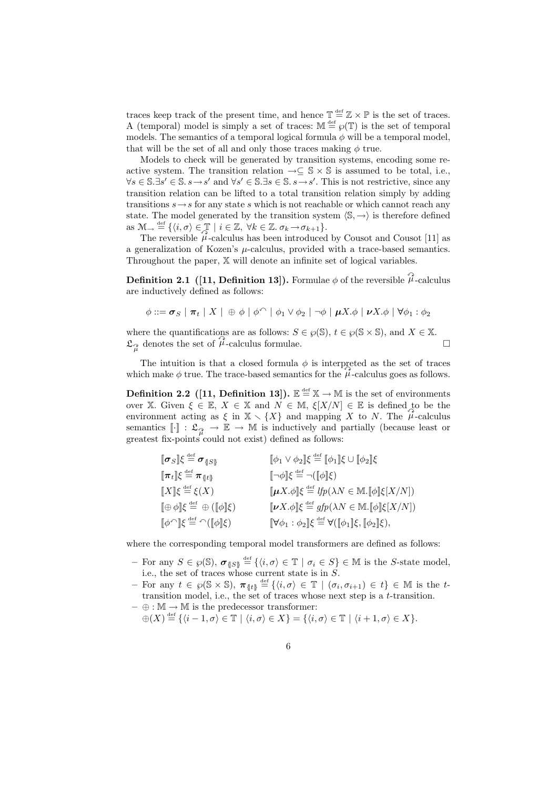traces keep track of the present time, and hence  $\mathbb{T} \stackrel{\text{def}}{=} \mathbb{Z} \times \mathbb{P}$  is the set of traces. A (temporal) model is simply a set of traces:  $M \stackrel{\text{def}}{=} \varphi(\mathbb{T})$  is the set of temporal models. The semantics of a temporal logical formula  $\phi$  will be a temporal model, that will be the set of all and only those traces making  $\phi$  true.

Models to check will be generated by transition systems, encoding some reactive system. The transition relation  $\rightarrow \subseteq \mathbb{S} \times \mathbb{S}$  is assumed to be total, i.e.,  $\forall s \in \mathbb{S} \exists s' \in \mathbb{S}. s \rightarrow s'$  and  $\forall s' \in \mathbb{S}. \exists s \in \mathbb{S}. s \rightarrow s'$ . This is not restrictive, since any transition relation can be lifted to a total transition relation simply by adding transitions  $s \rightarrow s$  for any state s which is not reachable or which cannot reach any state. The model generated by the transition system  $\langle \mathbb{S}, \rightarrow \rangle$  is therefore defined as  $\mathcal{M}_{\rightarrow} \stackrel{\text{def}}{=} \{ \langle i, \sigma \rangle \in \mathbb{T} \mid i \in \mathbb{Z}, \forall k \in \mathbb{Z}.\ \sigma_k \rightarrow \sigma_{k+1} \}.$ 

 $m \rightarrow -\chi \nu, \sigma \equiv \mu + i \epsilon \omega, \quad \nu \kappa \equiv \omega, \quad \nu \kappa \rightarrow \nu \kappa + i \gamma.$ <br>The reversible  $\mu$ -calculus has been introduced by Cousot and Cousot [11] as a generalization of Kozen's  $\mu$ -calculus, provided with a trace-based semantics. Throughout the paper, X will denote an infinite set of logical variables.

**Definition 2.1** ([11, Definition 13]). Formulae  $\phi$  of the reversible  $\widehat{\vec{\mu}}$ -calculus are inductively defined as follows:

$$
\phi ::= \boldsymbol{\sigma}_S \mid \boldsymbol{\pi}_t \mid X \mid \oplus \phi \mid \phi^{\wedge} \mid \phi_1 \vee \phi_2 \mid \neg \phi \mid \boldsymbol{\mu} X. \phi \mid \boldsymbol{\nu} X. \phi \mid \forall \phi_1 : \phi_2
$$

where the quantifications are as follows:  $S \in \wp(\mathbb{S}), t \in \wp(\mathbb{S} \times \mathbb{S})$ , and  $X \in \mathbb{X}$ .  $\mathfrak{L}_{\widehat{\mu}}$  denotes the set of  $\widehat{\mu}$ -calculus formulae.

The intuition is that a closed formula  $\phi$  is interpreted as the set of traces The intuition is that a closed formula  $\varphi$  is interpreted as the set of traces<br>which make  $\phi$  true. The trace-based semantics for the  $\hat{\mu}$ -calculus goes as follows.

**Definition 2.2** ([11, Definition 13]).  $\mathbb{E} \stackrel{\text{def}}{=} \mathbb{X} \to \mathbb{M}$  is the set of environments over X. Given  $\xi \in \mathbb{E}, X \in \mathbb{X}$  and  $N \in \mathbb{M}, \xi[X/N] \in \mathbb{E}$  is defined to be the environment acting as  $\xi$  in  $\mathbb{X} \setminus \{X\}$  and mapping X to N. The  $\hat{\mu}$ -calculus semantics  $[\![\cdot]\!] : \mathfrak{L}_{\widehat{\mu}} \to \mathbb{E} \to \mathbb{M}$  is inductively and partially (because least or greatest fix-points could not exist) defined as follows:

| $[\![\sigma_S]\!] \xi \stackrel{\text{def}}{=} \sigma_{\{  S  \}}$                                         | $[\![\phi_1 \vee \phi_2]\!] \xi \stackrel{\text{def}}{=} [\![\phi_1]\!] \xi \cup [\![\phi_2]\!] \xi$                                                                                                           |
|------------------------------------------------------------------------------------------------------------|----------------------------------------------------------------------------------------------------------------------------------------------------------------------------------------------------------------|
| $[\![\boldsymbol{\pi}_t]\!] \xi \stackrel{\text{def}}{=} \boldsymbol{\pi}_{\{ \mid t \}}$                  | $[\neg \phi] \xi \stackrel{\text{def}}{=} \neg (\llbracket \phi \rrbracket \xi)$                                                                                                                               |
| $\llbracket X \rrbracket \xi \stackrel{\text{def}}{=} \xi(X)$                                              | $[\![\mu X.\phi]\!] \xi \stackrel{\text{def}}{=} \mathit{lfp}(\lambda N \in \mathbb{M}. [\![\phi]\!] \xi[X/N])$                                                                                                |
| $\llbracket \oplus \phi \rrbracket \xi \stackrel{\text{def}}{=} \oplus (\llbracket \phi \rrbracket \xi)$   | $[\![\boldsymbol{\nu} \boldsymbol{X}.\boldsymbol{\phi}]\!] \boldsymbol{\xi} \stackrel{\text{def}}{=} gfp(\lambda \boldsymbol{N} \in \mathbb{M}. [\![\boldsymbol{\phi}]\!] \boldsymbol{\xi}[\boldsymbol{X}/N])$ |
| $\llbracket \phi^\frown \rrbracket \xi \stackrel{\text{def}}{=} \bigcirc (\llbracket \phi \rrbracket \xi)$ | $[\![\forall \phi_1 : \phi_2]\!] \xi \stackrel{\text{def}}{=} \forall (\llbracket \phi_1 \rrbracket \xi, [\![\phi_2]\!] \xi),$                                                                                 |

where the corresponding temporal model transformers are defined as follows:

- For any  $S \in \wp(\mathbb{S}), \sigma_{\{S\}} \stackrel{\text{def}}{=} {\{\langle i, \sigma \rangle \in \mathbb{T} \mid \sigma_i \in S\}} \in \mathbb{M}$  is the S-state model, i.e., the set of traces whose current state is in S.
- For any  $t \in \wp(\mathbb{S} \times \mathbb{S}), \pi_{\|\hat{t}\|} \stackrel{\text{def}}{=} {\{(i, \sigma) \in \mathbb{T} \mid (\sigma_i, \sigma_{i+1}) \in t\}} \in \mathbb{M}$  is the ttransition model, i.e., the set of traces whose next step is a t-transition.
- $\oplus : \mathbb{M} \to \mathbb{M}$  is the predecessor transformer:  $\bigoplus(X) \stackrel{\text{def}}{=} \{ \langle i-1, \sigma \rangle \in \mathbb{T} \mid \langle i, \sigma \rangle \in X \} = \{ \langle i, \sigma \rangle \in \mathbb{T} \mid \langle i+1, \sigma \rangle \in X \}.$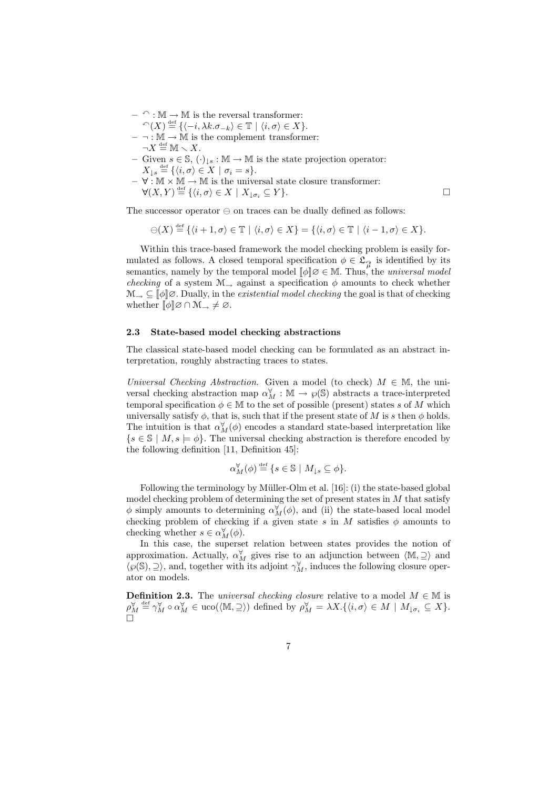- $\curvearrowright$  :  $\mathbb{M} \to \mathbb{M}$  is the reversal transformer:
- $\bigcap (X) \stackrel{\text{def}}{=} \{ \langle -i, \lambda k. \sigma_{-k} \rangle \in \mathbb{T} \mid \langle i, \sigma \rangle \in X \}.$
- $\neg : \mathbb{M} \to \mathbb{M}$  is the complement transformer:
- $\neg X \stackrel{\text{def}}{=} \mathbb{M} \setminus X.$
- Given s ∈ S, (·)<sup>↓</sup><sup>s</sup> : M → M is the state projection operator:  $X_{\downarrow s} \stackrel{\text{def}}{=} \{ \langle i, \sigma \rangle \in X \mid \sigma_i = s \}.$
- $\forall : \mathbb{M} \times \mathbb{M} \to \mathbb{M}$  is the universal state closure transformer:  $\forall (X,Y) \stackrel{\text{def}}{=} \{ \langle i,\sigma \rangle \in X \mid X_{\downarrow \sigma_i} \subseteq Y \}.$

The successor operator  $\ominus$  on traces can be dually defined as follows:

$$
\ominus(X) \stackrel{\text{def}}{=} \{ \langle i+1, \sigma \rangle \in \mathbb{T} \mid \langle i, \sigma \rangle \in X \} = \{ \langle i, \sigma \rangle \in \mathbb{T} \mid \langle i-1, \sigma \rangle \in X \}.
$$

Within this trace-based framework the model checking problem is easily formulated as follows. A closed temporal specification  $\phi \in \mathcal{L}_{\hat{\mu}}$  is identified by its semantics, namely by the temporal model  $[\![\phi]\!] \varnothing \in \mathbb{M}$ . Thus, the universal model checking of a system  $M_{\rightarrow}$  against a specification  $\phi$  amounts to check whether  $\mathcal{M}_{\rightarrow} \subseteq \llbracket \phi \rrbracket \varnothing$ . Dually, in the *existential model checking* the goal is that of checking whether  $\llbracket \phi \rrbracket \varnothing \cap \mathcal{M} \rightarrow \varnothing$ .

## 2.3 State-based model checking abstractions

The classical state-based model checking can be formulated as an abstract interpretation, roughly abstracting traces to states.

Universal Checking Abstraction. Given a model (to check)  $M \in \mathbb{M}$ , the universal checking abstraction map  $\alpha_M^{\forall}$  : M  $\rightarrow \varphi(S)$  abstracts a trace-interpreted temporal specification  $\phi \in \mathbb{M}$  to the set of possible (present) states s of M which universally satisfy  $\phi$ , that is, such that if the present state of M is s then  $\phi$  holds. The intuition is that  $\alpha_M^{\forall}(\phi)$  encodes a standard state-based interpretation like  $\{s \in \mathbb{S} \mid M, s \models \phi\}.$  The universal checking abstraction is therefore encoded by the following definition [11, Definition 45]:

$$
\alpha_M^{\forall}(\phi) \stackrel{\text{def}}{=} \{ s \in \mathbb{S} \mid M_{\downarrow s} \subseteq \phi \}.
$$

Following the terminology by Müller-Olm et al.  $[16]$ : (i) the state-based global model checking problem of determining the set of present states in  $M$  that satisfy  $\phi$  simply amounts to determining  $\alpha_M^{\forall}(\phi)$ , and (ii) the state-based local model checking problem of checking if a given state s in M satisfies  $\phi$  amounts to checking whether  $s \in \alpha_M^{\forall}(\phi)$ .

In this case, the superset relation between states provides the notion of approximation. Actually,  $\alpha_M^{\forall}$  gives rise to an adjunction between  $\langle M, \supseteq \rangle$  and  $\langle \wp(\mathbb{S}), \supseteq \rangle$ , and, together with its adjoint  $\gamma_M^{\forall}$ , induces the following closure operator on models.

**Definition 2.3.** The universal checking closure relative to a model  $M \in \mathbb{M}$  is  $\rho_M^{\forall} \stackrel{\text{def}}{=} \gamma_M^{\forall} \circ \alpha_M^{\forall} \in \text{uco}(\langle \mathbb{M}, \supseteq \rangle)$  defined by  $\rho_M^{\forall} = \lambda X.\{\langle i, \sigma \rangle \in M \mid M_{\downarrow \sigma_i} \subseteq X\}.$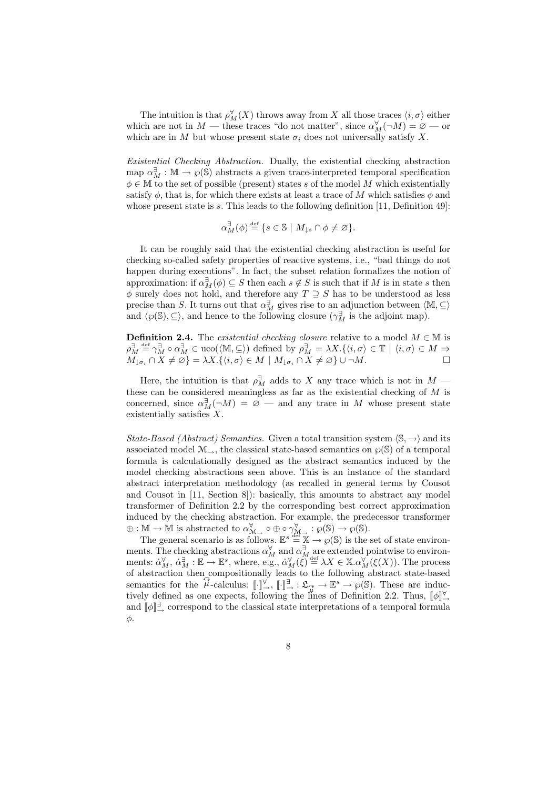The intuition is that  $\rho_M^{\forall}(X)$  throws away from X all those traces  $\langle i, \sigma \rangle$  either which are not in  $M$  — these traces "do not matter", since  $\alpha_M^{\forall}(\neg M) = \varnothing$  — or which are in M but whose present state  $\sigma_i$  does not universally satisfy X.

Existential Checking Abstraction. Dually, the existential checking abstraction map  $\alpha_M^{\exists}$ : M  $\rightarrow \mathcal{P}(\mathbb{S})$  abstracts a given trace-interpreted temporal specification  $\phi \in \mathbb{M}$  to the set of possible (present) states s of the model M which existentially satisfy  $\phi$ , that is, for which there exists at least a trace of M which satisfies  $\phi$  and whose present state is s. This leads to the following definition [11, Definition 49]:

$$
\alpha_M^{\exists}(\phi) \stackrel{\text{def}}{=} \{ s \in \mathbb{S} \mid M_{\downarrow s} \cap \phi \neq \varnothing \}.
$$

It can be roughly said that the existential checking abstraction is useful for checking so-called safety properties of reactive systems, i.e., "bad things do not happen during executions". In fact, the subset relation formalizes the notion of approximation: if  $\alpha_M^{\exists}(\phi) \subseteq S$  then each  $s \notin S$  is such that if M is in state s then  $\phi$  surely does not hold, and therefore any  $T \supseteq S$  has to be understood as less precise than S. It turns out that  $\alpha_M^{\exists}$  gives rise to an adjunction between  $\langle \mathbb{M}, \subseteq \rangle$ and  $\langle \varphi(\mathbb{S}), \subseteq \rangle$ , and hence to the following closure  $(\gamma_M^{\exists}$  is the adjoint map).

**Definition 2.4.** The *existential checking closure* relative to a model  $M \in \mathbb{M}$  is  $\rho_M^{\exists} \stackrel{\text{def}}{=} \gamma_M^{\exists} \circ \alpha_M^{\exists} \in \text{uco}(\langle \mathbb{M}, \subseteq \rangle)$  defined by  $\rho_M^{\exists} = \lambda X. \{ \langle i, \sigma \rangle \in \mathbb{T} \mid \langle i, \sigma \rangle \in M \Rightarrow$  $M_{\downarrow \sigma_i} \cap X \neq \emptyset$  =  $\lambda X.\{\langle i, \sigma \rangle \in M \mid M_{\downarrow \sigma_i} \cap X \neq \emptyset\} \cup \neg M.$ 

Here, the intuition is that  $\rho_M^{\exists}$  adds to X any trace which is not in M – these can be considered meaningless as far as the existential checking of M is concerned, since  $\alpha_M^{\exists}(\neg M) = \varnothing$  — and any trace in M whose present state existentially satisfies X.

State-Based (Abstract) Semantics. Given a total transition system  $\langle \mathbb{S}, \rightarrow \rangle$  and its associated model  $\mathcal{M}_{\rightarrow}$ , the classical state-based semantics on  $\wp(\mathbb{S})$  of a temporal formula is calculationally designed as the abstract semantics induced by the model checking abstractions seen above. This is an instance of the standard abstract interpretation methodology (as recalled in general terms by Cousot and Cousot in [11, Section 8]): basically, this amounts to abstract any model transformer of Definition 2.2 by the corresponding best correct approximation induced by the checking abstraction. For example, the predecessor transformer  $\oplus: \mathbb{M} \to \mathbb{M}$  is abstracted to  $\alpha_{\mathcal{M}_\rightarrow}^{\forall} \circ \oplus \circ \gamma_{\mathcal{M}_\rightarrow}^{\forall} : \wp(\mathbb{S}) \to \wp(\mathbb{S}).$ 

The general scenario is as follows.  $\mathbb{E}^s \stackrel{\text{def}}{=} \mathbb{X} \to \wp(\mathbb{S})$  is the set of state environments. The checking abstractions  $\alpha_M^{\forall}$  and  $\alpha_M^{\exists}$  are extended pointwise to environments:  $\alpha_M^{\forall}$ ,  $\alpha_M^{\exists} : \mathbb{E} \to \mathbb{E}^s$ , where, e.g.,  $\alpha_M^{\forall}(\xi) \stackrel{\text{def}}{=} \lambda X \in \mathbb{X}.\alpha_M^{\forall}(\xi(X))$ . The process of abstraction then compositionally leads to the following abstract state-based semantics for the  $\mu$ -calculus:  $[\![\cdot]\!]^\forall$ ,  $[\![\cdot]\!]^\exists$  :  $\mathfrak{L}_{\widehat{\mu}} \to \mathbb{E}^s \to \wp(\mathbb{S})$ . These are inductively defined as one expects, following the lines of Definition 2.2. Thus,  $[\![\phi]\!]^{\vee}$ and  $[\![\phi]\!]$ <sup>3</sup> correspond to the classical state interpretations of a temporal formula  $\phi$ .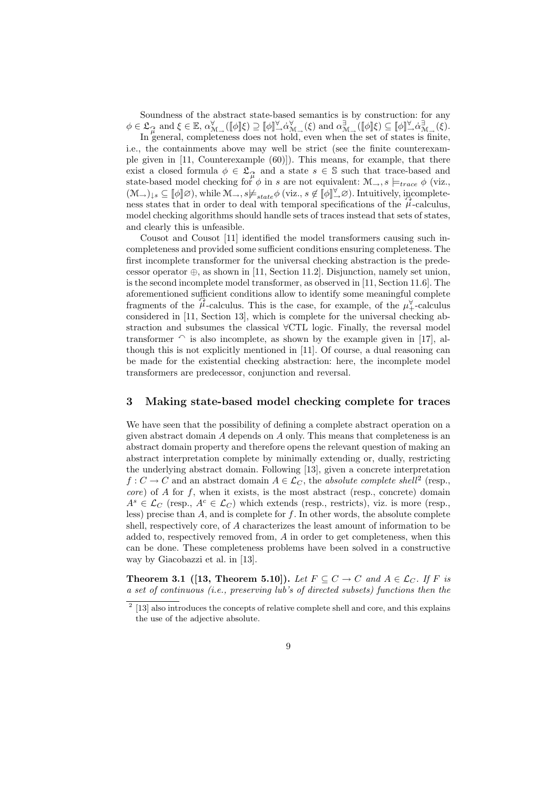Soundness of the abstract state-based semantics is by construction: for any  $\phi \in \mathfrak{L}_{\widehat{\mu}}$  and  $\xi \in \mathbb{E}, \alpha_{\mathcal{M}_{\rightarrow}}^{\forall}([\![\phi]\!] \xi) \supseteq [\![\phi]\!]^{\forall}_{\rightarrow} \alpha_{\mathcal{M}_{\rightarrow}}^{\forall}(\xi)$  and  $\alpha_{\mathcal{M}_{\rightarrow}}^{\exists}([\![\phi]\!] \xi) \subseteq [\![\phi]\!]^{\forall}_{\rightarrow} \alpha_{\mathcal{M}_{\rightarrow}}^{\exists}(\xi)$ .

In general, completeness does not hold, even when the set of states is finite, i.e., the containments above may well be strict (see the finite counterexample given in  $[11,$  Counterexample  $(60)$ ). This means, for example, that there exist a closed formula  $\phi \in \mathfrak{L}_{\widehat{\mathcal{H}}}$  and a state  $s \in \mathbb{S}$  such that trace-based and state-based model checking for  $\phi$  in s are not equivalent:  $\mathcal{M}_{\rightarrow}$ ,  $s \models_{trace} \phi$  (viz.,  $(\mathcal{M}_{\rightarrow})_{\downarrow s} \subseteq [\![\phi]\!] \varnothing$ ), while  $\mathcal{M}_{\rightarrow}$ ,  $s \not\models_{state} \phi$  (viz.,  $s \not\in [\![\phi]\!]^\forall_{\rightarrow} \varnothing$ ). Intuitively, incompleteness states that in order to deal with temporal specifications of the  $\mu$ -calculus, model checking algorithms should handle sets of traces instead that sets of states, and clearly this is unfeasible.

Cousot and Cousot [11] identified the model transformers causing such incompleteness and provided some sufficient conditions ensuring completeness. The first incomplete transformer for the universal checking abstraction is the predecessor operator  $\oplus$ , as shown in [11, Section 11.2]. Disjunction, namely set union, is the second incomplete model transformer, as observed in [11, Section 11.6]. The aforementioned sufficient conditions allow to identify some meaningful complete fragments of the  $\mu^2$ -calculus. This is the case, for example, of the  $\mu^{\forall}_+$ -calculus considered in [11, Section 13], which is complete for the universal checking abstraction and subsumes the classical ∀CTL logic. Finally, the reversal model transformer  $\hat{\ }$  is also incomplete, as shown by the example given in [17], although this is not explicitly mentioned in [11]. Of course, a dual reasoning can be made for the existential checking abstraction: here, the incomplete model transformers are predecessor, conjunction and reversal.

#### 3 Making state-based model checking complete for traces

We have seen that the possibility of defining a complete abstract operation on a given abstract domain A depends on A only. This means that completeness is an abstract domain property and therefore opens the relevant question of making an abstract interpretation complete by minimally extending or, dually, restricting the underlying abstract domain. Following [13], given a concrete interpretation  $f: C \to C$  and an abstract domain  $A \in \mathcal{L}_C$ , the absolute complete shell<sup>2</sup> (resp.,  $core)$  of  $A$  for  $f$ , when it exists, is the most abstract (resp., concrete) domain  $A^s \in \mathcal{L}_C$  (resp.,  $A^c \in \mathcal{L}_C$ ) which extends (resp., restricts), viz. is more (resp., less) precise than  $A$ , and is complete for  $f$ . In other words, the absolute complete shell, respectively core, of A characterizes the least amount of information to be added to, respectively removed from, A in order to get completeness, when this can be done. These completeness problems have been solved in a constructive way by Giacobazzi et al. in [13].

**Theorem 3.1** ([13, Theorem 5.10]). Let  $F \subseteq C \rightarrow C$  and  $A \in \mathcal{L}_C$ . If F is a set of continuous (i.e., preserving lub's of directed subsets) functions then the

 $2\;$  [13] also introduces the concepts of relative complete shell and core, and this explains the use of the adjective absolute.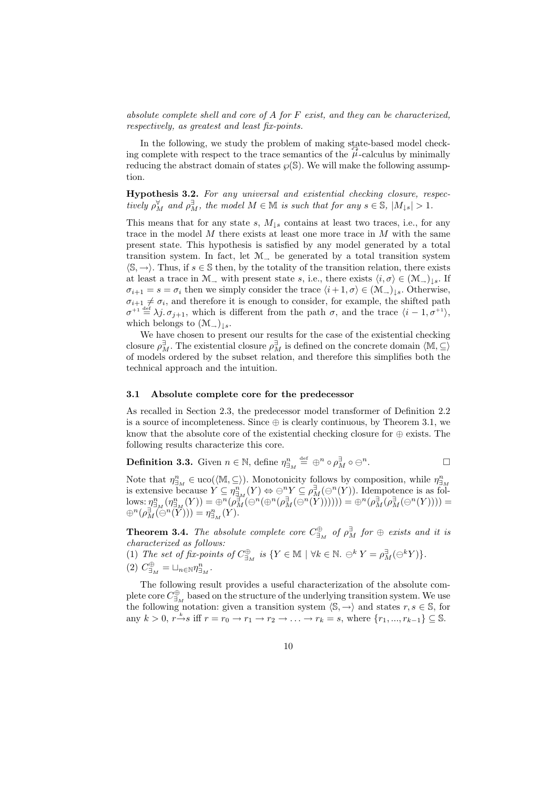absolute complete shell and core of A for F exist, and they can be characterized, respectively, as greatest and least fix-points.

In the following, we study the problem of making state-based model checking complete with respect to the trace semantics of the  $\mu$ -calculus by minimally reducing the abstract domain of states  $\wp(\mathbb{S})$ . We will make the following assumption.

Hypothesis 3.2. For any universal and existential checking closure, respectively  $\rho_M^{\forall}$  and  $\rho_M^{\exists}$ , the model  $M \in \mathbb{M}$  is such that for any  $s \in \mathbb{S}$ ,  $|M_{\downarrow s}| > 1$ .

This means that for any state  $s, M_{\downarrow s}$  contains at least two traces, i.e., for any trace in the model  $M$  there exists at least one more trace in  $M$  with the same present state. This hypothesis is satisfied by any model generated by a total transition system. In fact, let  $\mathcal{M}_{\rightarrow}$  be generated by a total transition system  $\langle \mathbb{S}, \to \rangle$ . Thus, if  $s \in \mathbb{S}$  then, by the totality of the transition relation, there exists at least a trace in M<sub>→</sub> with present state s, i.e., there exists  $\langle i, \sigma \rangle \in (\mathcal{M}_\rightarrow)_{\perp s}$ . If  $\sigma_{i+1} = s = \sigma_i$  then we simply consider the trace  $\langle i+1, \sigma \rangle \in (\mathcal{M}_\rightarrow)_{\downarrow s}$ . Otherwise,  $\sigma_{i+1} \neq \sigma_i$ , and therefore it is enough to consider, for example, the shifted path  $\sigma^{+1} \stackrel{\text{def}}{=} \lambda j \cdot \sigma_{j+1}$ , which is different from the path  $\sigma$ , and the trace  $\langle i-1, \sigma^{+1} \rangle$ , which belongs to  $(\mathcal{M}_\rightarrow)_{\downarrow s}$ .

We have chosen to present our results for the case of the existential checking closure  $\rho_M^{\exists}$ . The existential closure  $\rho_M^{\exists}$  is defined on the concrete domain  $\langle M, \subseteq \rangle$ of models ordered by the subset relation, and therefore this simplifies both the technical approach and the intuition.

### 3.1 Absolute complete core for the predecessor

As recalled in Section 2.3, the predecessor model transformer of Definition 2.2 is a source of incompleteness. Since  $\oplus$  is clearly continuous, by Theorem 3.1, we know that the absolute core of the existential checking closure for  $\oplus$  exists. The following results characterize this core.

**Definition 3.3.** Given 
$$
n \in \mathbb{N}
$$
, define  $\eta_{\exists_M}^n \stackrel{\text{def}}{=} \oplus^n \circ \rho_M^{\exists} \circ \ominus^n$ .

Note that  $\eta_{\exists M}^n \in \text{uco}(\langle \mathbb{M}, \subseteq \rangle)$ . Monotonicity follows by composition, while  $\eta_{\exists M}^n$  is extensive because  $Y \subseteq \eta_{\exists M}^n(Y) \Leftrightarrow \ominus^n Y \subseteq \rho_M^{\exists}(\ominus^n(Y))$ . Idempotence is as fol- $\text{loss: } \eta_{\exists_M}^n(\eta_{\exists_M}^n(Y)) = \oplus^n(\rho_M^{\exists^n}(\ominus^n(\oplus^n(\rho_M^{\exists}(\ominus^n(Y))))))) = \oplus^n(\rho_M^{\exists}(\rho_M^{\exists}(\ominus^n(Y)))) =$  $\oplus^n(\rho_M^{\exists}(\stackrel{\cdot n}{\ominus}{}^n(\stackrel{\cdot n}{Y})))=\eta_{\exists_M}^n(Y).$ 

**Theorem 3.4.** The absolute complete core  $C_{\exists_M}^{\oplus}$  of  $\rho_M^{\exists}$  for  $\oplus$  exists and it is characterized as follows:

- (1) The set of fix-points of  $C_{\exists_M}^{\oplus}$  is  $\{Y \in \mathbb{M} \mid \forall k \in \mathbb{N}.\ \ominus^k Y = \rho_M^{\exists}(\ominus^k Y)\}.$
- (2)  $C_{\exists_M}^{\oplus} = \sqcup_{n \in \mathbb{N}} \eta_{\exists_M}^n$ .

The following result provides a useful characterization of the absolute complete core  $C_{\exists_M}^\oplus$  based on the structure of the underlying transition system. We use the following notation: given a transition system  $\langle \mathbb{S}, \rightarrow \rangle$  and states  $r, s \in \mathbb{S}$ , for any  $k > 0$ ,  $r \xrightarrow{k} s$  iff  $r = r_0 \rightarrow r_1 \rightarrow r_2 \rightarrow \ldots \rightarrow r_k = s$ , where  $\{r_1, ..., r_{k-1}\} \subseteq \mathbb{S}$ .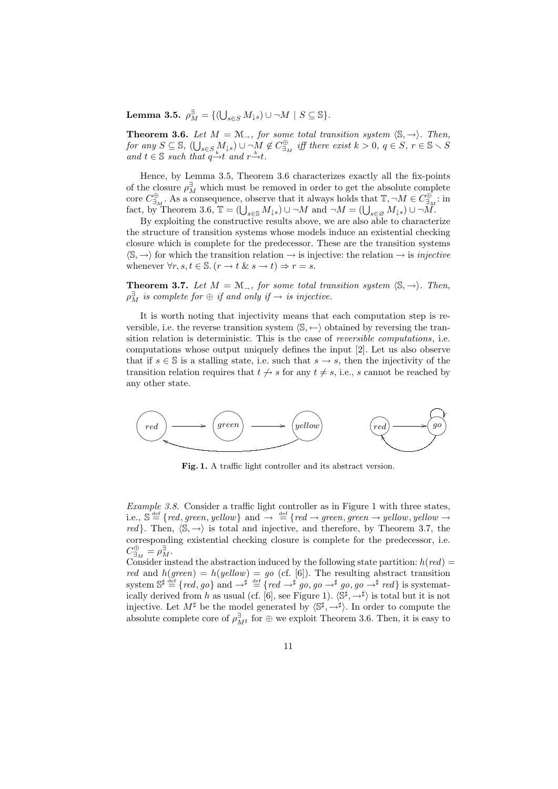$\textbf{Lemma 3.5.}\ \ \rho_{M}^{\exists}=\{(\bigcup_{s\in S}M_{\downarrow s})\cup\neg M\mid S\subseteq\mathbb{S}\}.$ 

**Theorem 3.6.** Let  $M = \mathcal{M}_{\rightarrow}$ , for some total transition system  $\langle \mathbb{S}, \rightarrow \rangle$ . Then, for any  $S \subseteq \mathbb{S}$ ,  $(\bigcup_{s \in S} M_{\downarrow s}) \cup \neg M \notin C_{\exists_M}^{\oplus}$  iff there exist  $k > 0$ ,  $q \in S$ ,  $r \in \mathbb{S} \setminus S$ and  $t \in \mathbb{S}$  such that  $q \stackrel{k}{\rightarrow} t$  and  $r \stackrel{k}{\rightarrow} t$ .

Hence, by Lemma 3.5, Theorem 3.6 characterizes exactly all the fix-points of the closure  $\rho_M^{\exists}$  which must be removed in order to get the absolute complete core  $C_{\exists_M}^{\oplus}$ . As a consequence, observe that it always holds that  $\mathbb{T}, \neg M \in C_{\exists_M}^{\oplus}$ : in fact, by Theorem 3.6,  $\mathbb{T} = (\bigcup_{s \in \mathbb{S}} M_{\downarrow s}) \cup \neg M$  and  $\neg M = (\bigcup_{s \in \mathbb{S}} M_{\downarrow s}) \cup \neg M$ .

By exploiting the constructive results above, we are also able to characterize the structure of transition systems whose models induce an existential checking closure which is complete for the predecessor. These are the transition systems  $\langle \mathbb{S}, \rightarrow \rangle$  for which the transition relation  $\rightarrow$  is injective: the relation  $\rightarrow$  is *injective* whenever  $\forall r, s, t \in \mathbb{S}$ .  $(r \to t \& s \to t) \Rightarrow r = s$ .

**Theorem 3.7.** Let  $M = \mathcal{M}_{\rightarrow}$ , for some total transition system  $\langle \mathbb{S}, \rightarrow \rangle$ . Then,  $\rho_{M}^{\exists}$  is complete for  $\oplus$  if and only if  $\rightarrow$  is injective.

It is worth noting that injectivity means that each computation step is reversible, i.e. the reverse transition system  $\langle \mathbb{S}, \leftarrow \rangle$  obtained by reversing the transition relation is deterministic. This is the case of *reversible computations*, i.e. computations whose output uniquely defines the input [2]. Let us also observe that if  $s \in \mathbb{S}$  is a stalling state, i.e. such that  $s \to s$ , then the injectivity of the transition relation requires that  $t \to s$  for any  $t \neq s$ , i.e., s cannot be reached by any other state.



Fig. 1. A traffic light controller and its abstract version.

Example 3.8. Consider a traffic light controller as in Figure 1 with three states, i.e.,  $\mathbb{S} \stackrel{\text{def}}{=} \{ red, green, yellow\}$  and  $\rightarrow \stackrel{\text{def}}{=} \{ red \rightarrow green, green \rightarrow yellow, yellow \rightarrow$ red}. Then,  $\langle \mathbb{S}, \rightarrow \rangle$  is total and injective, and therefore, by Theorem 3.7, the corresponding existential checking closure is complete for the predecessor, i.e.  $C_{\exists_M}^{\oplus} = \rho_M^{\exists}$ .

Consider instead the abstraction induced by the following state partition:  $h(\text{red}) =$ red and  $h(green) = h(yellow) = go$  (cf. [6]). The resulting abstract transition system  $\mathbb{S}^{\sharp} \stackrel{\text{def}}{=} \{ red, go\}$  and  $\rightarrow^{\sharp} \stackrel{\text{def}}{=} \{ red \rightarrow^{\sharp} go, go \rightarrow^{\sharp} go, go \rightarrow^{\sharp} red \}$  is systematically derived from h as usual (cf. [6], see Figure 1).  $\langle \mathbb{S}^{\sharp}, \to^{\sharp} \rangle$  is total but it is not injective. Let  $M^{\sharp}$  be the model generated by  $\langle \mathbb{S}^{\sharp}, \to^{\sharp} \rangle$ . In order to compute the absolute complete core of  $\rho_{M^{\sharp}}^{\exists}$  for  $\oplus$  we exploit Theorem 3.6. Then, it is easy to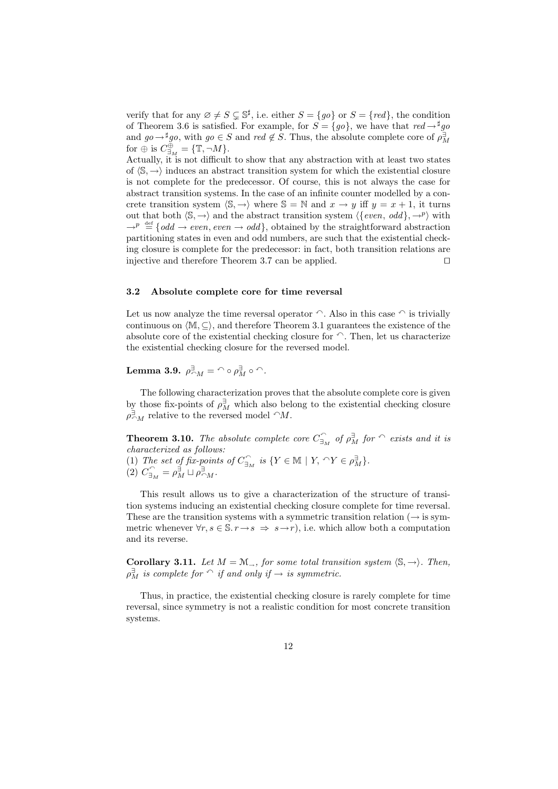verify that for any  $\emptyset \neq S \subsetneq \mathbb{S}^{\sharp}$ , i.e. either  $S = \{ go \}$  or  $S = \{ red \}$ , the condition of Theorem 3.6 is satisfied. For example, for  $S = \{go\}$ , we have that  $red \rightarrow \frac{\sharp}{go}$ and  $g \circ \to \sharp g \circ$ , with  $g \circ \in S$  and  $red \notin S$ . Thus, the absolute complete core of  $\rho_M^{\exists}$ for  $\oplus$  is  $C_{\exists_M}^{\oplus} = {\{\mathbb{T}, \neg M\}}$ .

Actually, it is not difficult to show that any abstraction with at least two states of  $\langle \mathbb{S}, \rightarrow \rangle$  induces an abstract transition system for which the existential closure is not complete for the predecessor. Of course, this is not always the case for abstract transition systems. In the case of an infinite counter modelled by a concrete transition system  $\langle \mathbb{S}, \to \rangle$  where  $\mathbb{S} = \mathbb{N}$  and  $x \to y$  iff  $y = x + 1$ , it turns out that both  $\langle \mathbb{S}, \to \rangle$  and the abstract transition system  $\langle \{even, odd\}, \to^p \rangle$  with  $\rightarrow^{p} \stackrel{\text{def}}{=} \{odd \rightarrow even, even \rightarrow odd\}$ , obtained by the straightforward abstraction partitioning states in even and odd numbers, are such that the existential checking closure is complete for the predecessor: in fact, both transition relations are injective and therefore Theorem 3.7 can be applied.  $\square$ 

#### 3.2 Absolute complete core for time reversal

Let us now analyze the time reversal operator  $\hat{\ }$ . Also in this case  $\hat{\ }$  is trivially continuous on  $\langle M, \subseteq \rangle$ , and therefore Theorem 3.1 guarantees the existence of the absolute core of the existential checking closure for  $\hat{\ }$ . Then, let us characterize the existential checking closure for the reversed model.

Lemma 3.9.  $\rho_{\cap M}^{\exists} = \cap \circ \rho_M^{\exists} \circ \cap$ .

The following characterization proves that the absolute complete core is given by those fix-points of  $\rho_M^{\exists}$  which also belong to the existential checking closure  $\rho_{\neg M}^{\exists}$  relative to the reversed model  $\cap M$ .

**Theorem 3.10.** The absolute complete core  $C_1^{\gamma}$  $\int_{\exists_M}^{\cap}$  of  $\rho_M^{\exists}$  for  $\cap$  exists and it is characterized as follows: (1) The set of fix-points of  $C_{\exists}^{\cap}$  $\bigcap_{\exists_M}^{\curvearrowleft}$  is  $\{Y \in \mathbb{M} \mid Y, \cap Y \in \rho_M^{\exists}\}.$ 

$$
(2) C_{\exists_M}^{\cap} = \rho_M^{\exists} \sqcup \rho_{\neg M}^{\exists}.
$$

This result allows us to give a characterization of the structure of transition systems inducing an existential checking closure complete for time reversal. These are the transition systems with a symmetric transition relation  $(\rightarrow$  is symmetric whenever  $\forall r, s \in \mathbb{S}. r \rightarrow s \Rightarrow s \rightarrow r$ , i.e. which allow both a computation and its reverse.

**Corollary 3.11.** Let  $M = \mathcal{M}_{\rightarrow}$ , for some total transition system  $\langle \mathbb{S}, \rightarrow \rangle$ . Then,  $\rho_M^{\exists}$  is complete for  $\widehat{\phantom{a}}$  if and only if  $\rightarrow$  is symmetric.

Thus, in practice, the existential checking closure is rarely complete for time reversal, since symmetry is not a realistic condition for most concrete transition systems.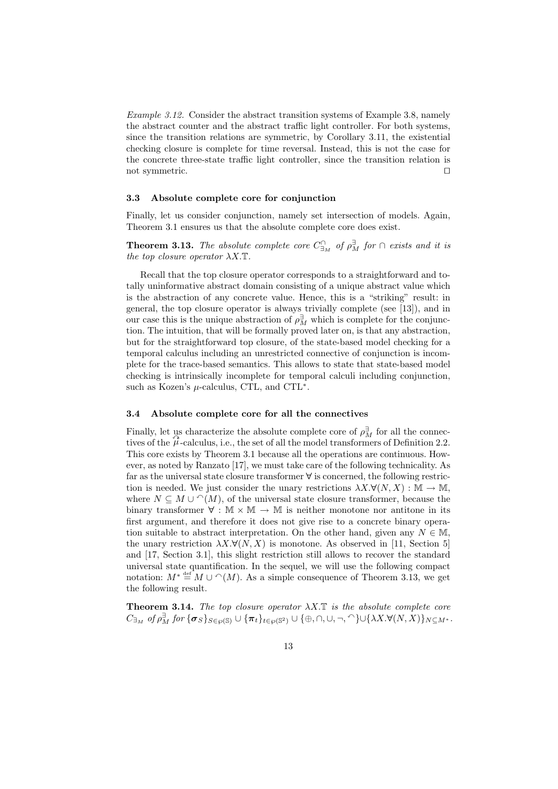Example 3.12. Consider the abstract transition systems of Example 3.8, namely the abstract counter and the abstract traffic light controller. For both systems, since the transition relations are symmetric, by Corollary 3.11, the existential checking closure is complete for time reversal. Instead, this is not the case for the concrete three-state traffic light controller, since the transition relation is not symmetric.  $\Box$ 

#### 3.3 Absolute complete core for conjunction

Finally, let us consider conjunction, namely set intersection of models. Again, Theorem 3.1 ensures us that the absolute complete core does exist.

**Theorem 3.13.** The absolute complete core  $C_{\exists_M}^{\cap}$  of  $\rho_M^{\exists}$  for  $\cap$  exists and it is the top closure operator  $\lambda X$ .T.

Recall that the top closure operator corresponds to a straightforward and totally uninformative abstract domain consisting of a unique abstract value which is the abstraction of any concrete value. Hence, this is a "striking" result: in general, the top closure operator is always trivially complete (see [13]), and in our case this is the unique abstraction of  $\rho_M^{\exists}$  which is complete for the conjunction. The intuition, that will be formally proved later on, is that any abstraction, but for the straightforward top closure, of the state-based model checking for a temporal calculus including an unrestricted connective of conjunction is incomplete for the trace-based semantics. This allows to state that state-based model checking is intrinsically incomplete for temporal calculi including conjunction, such as Kozen's  $\mu$ -calculus, CTL, and CTL<sup>\*</sup>.

#### 3.4 Absolute complete core for all the connectives

Finally, let us characterize the absolute complete core of  $\rho_M^{\exists}$  for all the connectives of the  $\mu$ -calculus, i.e., the set of all the model transformers of Definition 2.2. This core exists by Theorem 3.1 because all the operations are continuous. However, as noted by Ranzato [17], we must take care of the following technicality. As far as the universal state closure transformer ∀ is concerned, the following restriction is needed. We just consider the unary restrictions  $\lambda X.\forall (N, X) : \mathbb{M} \to \mathbb{M}$ , where  $N \subseteq M \cup \bigcap (M)$ , of the universal state closure transformer, because the binary transformer  $\forall : \mathbb{M} \times \mathbb{M} \to \mathbb{M}$  is neither monotone nor antitone in its first argument, and therefore it does not give rise to a concrete binary operation suitable to abstract interpretation. On the other hand, given any  $N \in M$ , the unary restriction  $\lambda X.\forall (N, X)$  is monotone. As observed in [11, Section 5] and [17, Section 3.1], this slight restriction still allows to recover the standard universal state quantification. In the sequel, we will use the following compact notation:  $M^* \stackrel{\text{def}}{=} M \cup \bigcirc (M)$ . As a simple consequence of Theorem 3.13, we get the following result.

**Theorem 3.14.** The top closure operator  $\lambda X$ . T is the absolute complete core  $C_{\exists_M}$  of  $\rho_M^{\exists}$  for  $\{\sigma_S\}_{S\in\wp(\mathbb{S})}\cup\{\pi_t\}_{t\in\wp(\mathbb{S}^2)}\cup\{\oplus,\cap,\cup,\neg,\cap\}\cup\{\lambda X.\forall(N,X)\}_{N\subseteq M^*}.$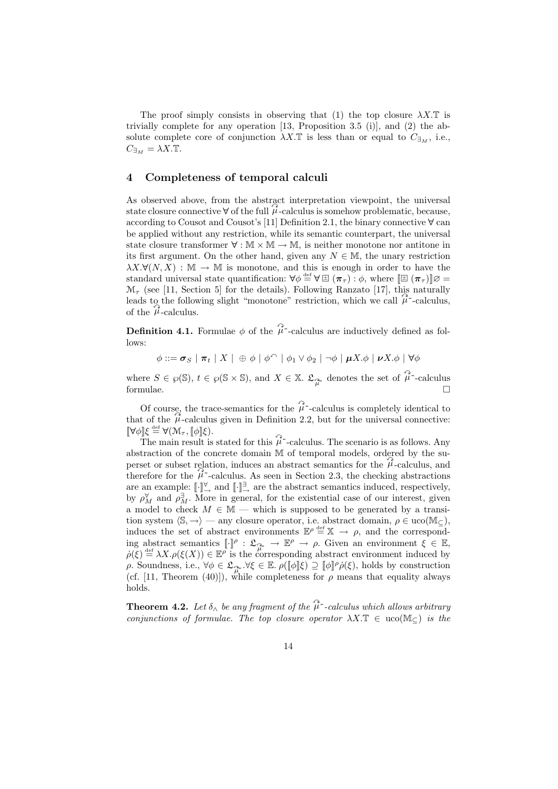The proof simply consists in observing that (1) the top closure  $\lambda X$ . T is trivially complete for any operation [13, Proposition 3.5 (i)], and (2) the absolute complete core of conjunction  $\lambda X$ .T is less than or equal to  $C_{\exists_M}$ , i.e.,  $C_{\exists_M} = \lambda X.\mathbb{T}.$ 

## 4 Completeness of temporal calculi

As observed above, from the abstract interpretation viewpoint, the universal state closure connective  $\forall$  of the full  $\mu$ -calculus is somehow problematic, because, according to Cousot and Cousot's [11] Definition 2.1, the binary connective  $\forall$  can be applied without any restriction, while its semantic counterpart, the universal state closure transformer  $\forall : \mathbb{M} \times \mathbb{M} \to \mathbb{M}$ , is neither monotone nor antitone in its first argument. On the other hand, given any  $N \in \mathbb{M}$ , the unary restriction  $\lambda X.\forall (N, X) : \mathbb{M} \to \mathbb{M}$  is monotone, and this is enough in order to have the standard universal state quantification:  $\forall \phi \stackrel{\text{def}}{=} \forall \boxplus (\pi_\tau) : \phi$ , where  $[\boxplus (\pi_\tau)] \varnothing =$  $\mathcal{M}_{\tau}$  (see [11, Section 5] for the details). Following Ranzato [17], this naturally leads to the following slight "monotone" restriction, which we call  $\hat{\mu}$ -calculus, of the  $\mu$ -calculus.

**Definition 4.1.** Formulae  $\phi$  of the  $\hat{\mu}$ -calculus are inductively defined as follows:

$$
\phi ::= \boldsymbol{\sigma}_S \mid \boldsymbol{\pi}_t \mid X \mid \oplus \phi \mid \phi^{\wedge} \mid \phi_1 \vee \phi_2 \mid \neg \phi \mid \boldsymbol{\mu} X. \phi \mid \boldsymbol{\nu} X. \phi \mid \forall \phi
$$

where  $S \in \wp(\mathbb{S})$ ,  $t \in \wp(\mathbb{S} \times \mathbb{S})$ , and  $X \in \mathbb{X}$ .  $\mathfrak{L}_{\widehat{\mu}}$  denotes the set of  $\widehat{\mu}$ -calculus formulae.

Of course, the trace-semantics for the  $\hat{\mu}$ -calculus is completely identical to that of the  $\mu$ -calculus given in Definition 2.2, but for the universal connective:  $[\![\forall \phi]\!] \xi \stackrel{\text{def}}{=} \forall (\mathcal{M}_{\tau}, [\![\phi]\!] \xi).$ 

 $\mathcal{T}_{\mathbb{R}} = \mathcal{N}(\mathcal{M}_{\tau}, \mathcal{L}_{\mathbb{R}})$ .<br>The main result is stated for this  $\hat{\mu}$ <sup>-</sup>-calculus. The scenario is as follows. Any abstraction of the concrete domain  $M$  of temporal models, ordered by the superset or subset relation, induces an abstract semantics for the  $\mu$ -calculus, and therefore for the  $\hat{\mu}$ -calculus. As seen in Section 2.3, the checking abstractions are an example:  $\llbracket \cdot \rrbracket^{\forall}$  and  $\llbracket \cdot \rrbracket^{\exists}$  are the abstract semantics induced, respectively, by  $\rho_M^{\forall}$  and  $\rho_M^{\exists}$ . More in general, for the existential case of our interest, given a model to check  $M \in \mathbb{M}$  — which is supposed to be generated by a transition system  $\langle \mathbb{S}, \to \rangle$  — any closure operator, i.e. abstract domain,  $\rho \in \text{uco}(\mathbb{M}_{\subset})$ , induces the set of abstract environments  $\mathbb{E}^{\rho} \stackrel{\text{def}}{=} \mathbb{X} \to \rho$ , and the corresponding abstract semantics  $\llbracket \cdot \rrbracket^{\rho} : \mathfrak{L}_{\widehat{\mu}} \to \mathbb{E}^{\rho} \to \rho$ . Given an environment  $\xi \in \mathbb{E}$ ,  $\rho(\xi) \stackrel{\text{def}}{=} \lambda X. \rho(\xi(X)) \in \mathbb{E}^{\rho}$  is the corresponding abstract environment induced by  $\rho$ . Soundness, i.e.,  $\forall \phi \in \mathfrak{L}_{\widehat{\mathcal{P}}}$ .  $\forall \xi \in \mathbb{E}$ .  $\rho([\![\phi]\!] \xi) \supseteq [\![\phi]\!]^{\rho} \rho(\xi)$ , holds by construction (cf. [11, Theorem (40)]), while completeness for  $\rho$  means that equality always holds.

**Theorem 4.2.** Let  $\delta_{\wedge}$  be any fragment of the  $\hat{\vec{\mu}}$ <sup>-</sup>-calculus which allows arbitrary conjunctions of formulae. The top closure operator  $\lambda X.\mathbb{T} \in \text{uco}(\mathbb{M}_{\subset})$  is the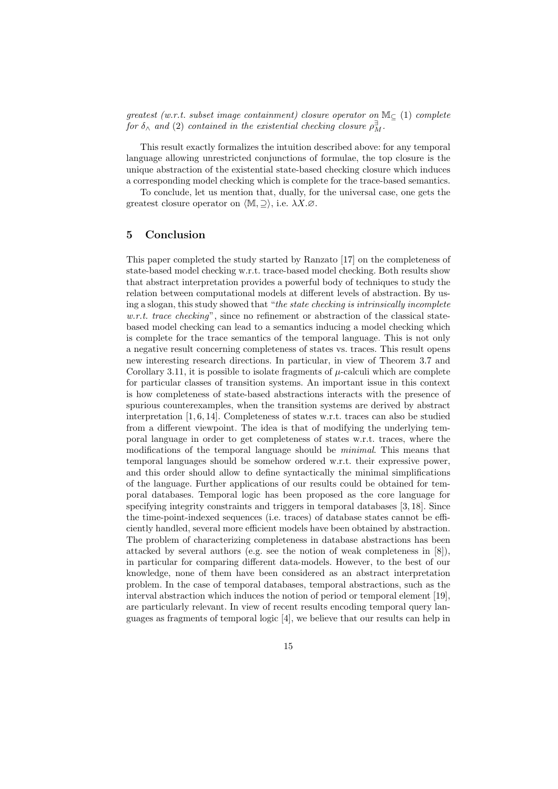greatest (w.r.t. subset image containment) closure operator on  $\mathbb{M}_{\subset}$  (1) complete  ${\it for\ } \delta_\wedge{\rm\ and\ } (2) {\rm\ contained\ in\ the\ existential\ checking\ closure\ }\rho_M^{\exists} .$ 

This result exactly formalizes the intuition described above: for any temporal language allowing unrestricted conjunctions of formulae, the top closure is the unique abstraction of the existential state-based checking closure which induces a corresponding model checking which is complete for the trace-based semantics.

To conclude, let us mention that, dually, for the universal case, one gets the greatest closure operator on  $\langle M, \supseteq \rangle$ , i.e.  $\lambda X. \emptyset$ .

# 5 Conclusion

This paper completed the study started by Ranzato [17] on the completeness of state-based model checking w.r.t. trace-based model checking. Both results show that abstract interpretation provides a powerful body of techniques to study the relation between computational models at different levels of abstraction. By using a slogan, this study showed that "the state checking is intrinsically incomplete w.r.t. trace checking", since no refinement or abstraction of the classical statebased model checking can lead to a semantics inducing a model checking which is complete for the trace semantics of the temporal language. This is not only a negative result concerning completeness of states vs. traces. This result opens new interesting research directions. In particular, in view of Theorem 3.7 and Corollary 3.11, it is possible to isolate fragments of  $\mu$ -calculi which are complete for particular classes of transition systems. An important issue in this context is how completeness of state-based abstractions interacts with the presence of spurious counterexamples, when the transition systems are derived by abstract interpretation [1, 6, 14]. Completeness of states w.r.t. traces can also be studied from a different viewpoint. The idea is that of modifying the underlying temporal language in order to get completeness of states w.r.t. traces, where the modifications of the temporal language should be minimal. This means that temporal languages should be somehow ordered w.r.t. their expressive power, and this order should allow to define syntactically the minimal simplifications of the language. Further applications of our results could be obtained for temporal databases. Temporal logic has been proposed as the core language for specifying integrity constraints and triggers in temporal databases [3, 18]. Since the time-point-indexed sequences (i.e. traces) of database states cannot be efficiently handled, several more efficient models have been obtained by abstraction. The problem of characterizing completeness in database abstractions has been attacked by several authors (e.g. see the notion of weak completeness in [8]), in particular for comparing different data-models. However, to the best of our knowledge, none of them have been considered as an abstract interpretation problem. In the case of temporal databases, temporal abstractions, such as the interval abstraction which induces the notion of period or temporal element [19], are particularly relevant. In view of recent results encoding temporal query languages as fragments of temporal logic [4], we believe that our results can help in